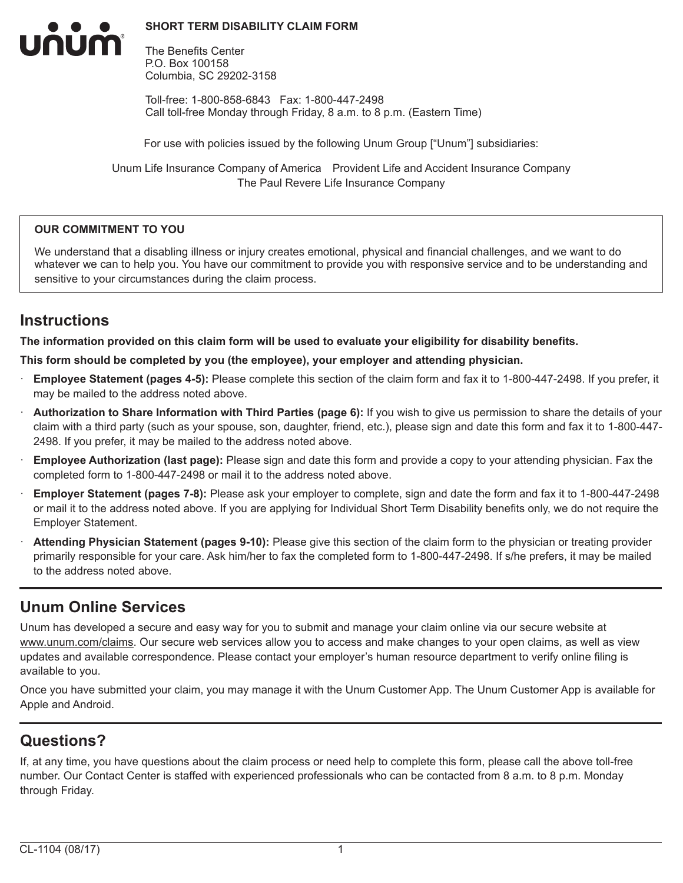#### **SHORT TERM DISABILITY CLAIM FORM**



The Benefits Center P.O. Box 100158 Columbia, SC 29202-3158

Toll-free: 1-800-858-6843 Fax: 1-800-447-2498 Call toll-free Monday through Friday, 8 a.m. to 8 p.m. (Eastern Time)

For use with policies issued by the following Unum Group ["Unum"] subsidiaries:

Unum Life Insurance Company of America Provident Life and Accident Insurance Company The Paul Revere Life Insurance Company

#### **OUR COMMITMENT TO YOU**

We understand that a disabling illness or injury creates emotional, physical and financial challenges, and we want to do whatever we can to help you. You have our commitment to provide you with responsive service and to be understanding and sensitive to your circumstances during the claim process.

## **Instructions**

**The information provided on this claim form will be used to evaluate your eligibility for disability benefits.**

**This form should be completed by you (the employee), your employer and attending physician.**

- · **Employee Statement (pages 4-5):** Please complete this section of the claim form and fax it to 1-800-447-2498. If you prefer, it may be mailed to the address noted above.
- · **Authorization to Share Information with Third Parties (page 6):** If you wish to give us permission to share the details of your claim with a third party (such as your spouse, son, daughter, friend, etc.), please sign and date this form and fax it to 1-800-447- 2498. If you prefer, it may be mailed to the address noted above.
- · **Employee Authorization (last page):** Please sign and date this form and provide a copy to your attending physician. Fax the completed form to 1-800-447-2498 or mail it to the address noted above.
- · **Employer Statement (pages 7-8):** Please ask your employer to complete, sign and date the form and fax it to 1-800-447-2498 or mail it to the address noted above. If you are applying for Individual Short Term Disability benefits only, we do not require the Employer Statement.
- Attending Physician Statement (pages 9-10): Please give this section of the claim form to the physician or treating provider primarily responsible for your care. Ask him/her to fax the completed form to 1-800-447-2498. If s/he prefers, it may be mailed to the address noted above.

## **Unum Online Services**

Unum has developed a secure and easy way for you to submit and manage your claim online via our secure website at www.unum.com/claims. Our secure web services allow you to access and make changes to your open claims, as well as view updates and available correspondence. Please contact your employer's human resource department to verify online filing is available to you.

Once you have submitted your claim, you may manage it with the Unum Customer App. The Unum Customer App is available for Apple and Android.

# **Questions?**

If, at any time, you have questions about the claim process or need help to complete this form, please call the above toll-free number. Our Contact Center is staffed with experienced professionals who can be contacted from 8 a.m. to 8 p.m. Monday through Friday.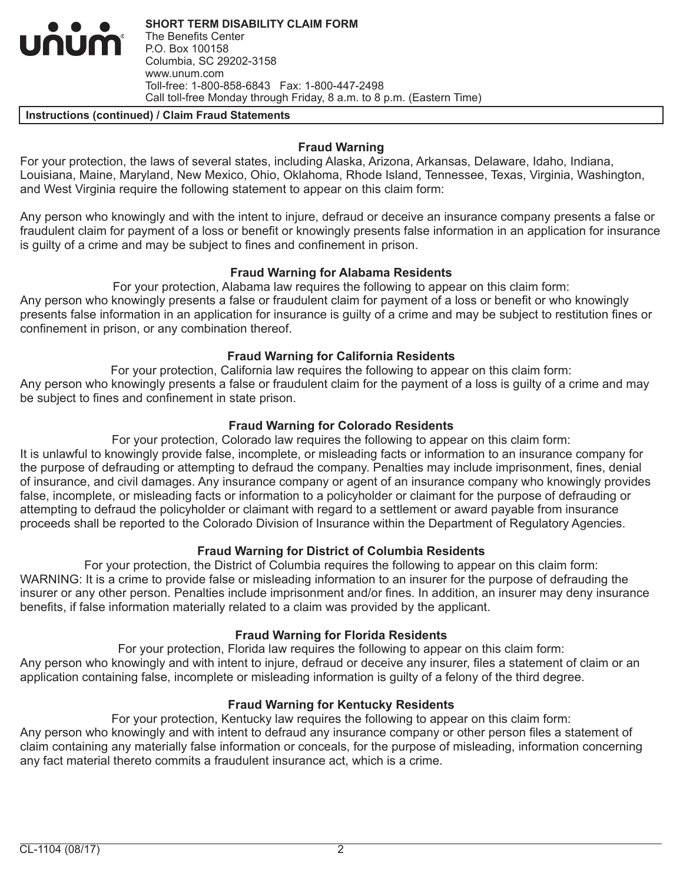**SHORT TERM DISABILITY CLAIM FORM** The Benefits Center P.O. Box 100158 Columbia, SC 29202-3158 www.unum.com Toll-free: 1-800-858-6843 Fax: 1-800-447-2498 Call toll-free Monday through Friday, 8 a.m. to 8 p.m. (Eastern Time)

#### **Instructions (continued) / Claim Fraud Statements**

INUM

#### **Fraud Warning**

For your protection, the laws of several states, including Alaska, Arizona, Arkansas, Delaware, Idaho, Indiana, Louisiana, Maine, Maryland, New Mexico, Ohio, Oklahoma, Rhode Island, Tennessee, Texas, Virginia, Washington, and West Virginia require the following statement to appear on this claim form:

Any person who knowingly and with the intent to injure, defraud or deceive an insurance company presents a false or fraudulent claim for payment of a loss or benefit or knowingly presents false information in an application for insurance is guilty of a crime and may be subject to fines and confinement in prison.

#### **Fraud Warning for Alabama Residents**

For your protection, Alabama law requires the following to appear on this claim form: Any person who knowingly presents a false or fraudulent claim for payment of a loss or benefit or who knowingly presents false information in an application for insurance is guilty of a crime and may be subject to restitution fines or confinement in prison, or any combination thereof.

### **Fraud Warning for California Residents**

For your protection, California law requires the following to appear on this claim form: Any person who knowingly presents a false or fraudulent claim for the payment of a loss is guilty of a crime and may be subject to fines and confinement in state prison.

### **Fraud Warning for Colorado Residents**

For your protection, Colorado law requires the following to appear on this claim form: It is unlawful to knowingly provide false, incomplete, or misleading facts or information to an insurance company for the purpose of defrauding or attempting to defraud the company. Penalties may include imprisonment, fines, denial of insurance, and civil damages. Any insurance company or agent of an insurance company who knowingly provides false, incomplete, or misleading facts or information to a policyholder or claimant for the purpose of defrauding or attempting to defraud the policyholder or claimant with regard to a settlement or award payable from insurance proceeds shall be reported to the Colorado Division of Insurance within the Department of Regulatory Agencies.

### **Fraud Warning for District of Columbia Residents**

For your protection, the District of Columbia requires the following to appear on this claim form: WARNING: It is a crime to provide false or misleading information to an insurer for the purpose of defrauding the insurer or any other person. Penalties include imprisonment and/or fines. In addition, an insurer may deny insurance benefits, if false information materially related to a claim was provided by the applicant.

### **Fraud Warning for Florida Residents**

For your protection, Florida law requires the following to appear on this claim form: Any person who knowingly and with intent to injure, defraud or deceive any insurer, files a statement of claim or an application containing false, incomplete or misleading information is guilty of a felony of the third degree.

### **Fraud Warning for Kentucky Residents**

For your protection, Kentucky law requires the following to appear on this claim form: Any person who knowingly and with intent to defraud any insurance company or other person files a statement of claim containing any materially false information or conceals, for the purpose of misleading, information concerning any fact material thereto commits a fraudulent insurance act, which is a crime.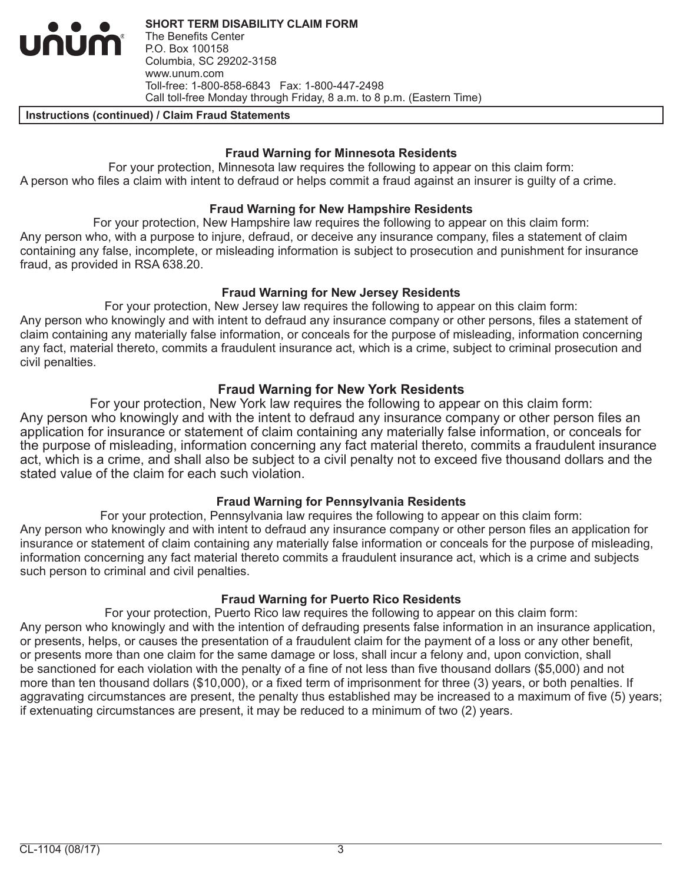**SHORT TERM DISABILITY CLAIM FORM** The Benefits Center P.O. Box 100158 Columbia, SC 29202-3158 www.unum.com Toll-free: 1-800-858-6843 Fax: 1-800-447-2498 Call toll-free Monday through Friday, 8 a.m. to 8 p.m. (Eastern Time)

#### **Instructions (continued) / Claim Fraud Statements**

num

#### **Fraud Warning for Minnesota Residents**

For your protection, Minnesota law requires the following to appear on this claim form: A person who files a claim with intent to defraud or helps commit a fraud against an insurer is guilty of a crime.

#### **Fraud Warning for New Hampshire Residents**

For your protection, New Hampshire law requires the following to appear on this claim form: Any person who, with a purpose to injure, defraud, or deceive any insurance company, files a statement of claim containing any false, incomplete, or misleading information is subject to prosecution and punishment for insurance fraud, as provided in RSA 638.20.

#### **Fraud Warning for New Jersey Residents**

For your protection, New Jersey law requires the following to appear on this claim form: Any person who knowingly and with intent to defraud any insurance company or other persons, files a statement of claim containing any materially false information, or conceals for the purpose of misleading, information concerning any fact, material thereto, commits a fraudulent insurance act, which is a crime, subject to criminal prosecution and civil penalties.

### **Fraud Warning for New York Residents**

For your protection, New York law requires the following to appear on this claim form: Any person who knowingly and with the intent to defraud any insurance company or other person files an application for insurance or statement of claim containing any materially false information, or conceals for the purpose of misleading, information concerning any fact material thereto, commits a fraudulent insurance act, which is a crime, and shall also be subject to a civil penalty not to exceed five thousand dollars and the stated value of the claim for each such violation.

### **Fraud Warning for Pennsylvania Residents**

For your protection, Pennsylvania law requires the following to appear on this claim form: Any person who knowingly and with intent to defraud any insurance company or other person files an application for insurance or statement of claim containing any materially false information or conceals for the purpose of misleading, information concerning any fact material thereto commits a fraudulent insurance act, which is a crime and subjects such person to criminal and civil penalties.

### **Fraud Warning for Puerto Rico Residents**

For your protection, Puerto Rico law requires the following to appear on this claim form: Any person who knowingly and with the intention of defrauding presents false information in an insurance application, or presents, helps, or causes the presentation of a fraudulent claim for the payment of a loss or any other benefit, or presents more than one claim for the same damage or loss, shall incur a felony and, upon conviction, shall be sanctioned for each violation with the penalty of a fine of not less than five thousand dollars (\$5,000) and not more than ten thousand dollars (\$10,000), or a fixed term of imprisonment for three (3) years, or both penalties. If aggravating circumstances are present, the penalty thus established may be increased to a maximum of five (5) years; if extenuating circumstances are present, it may be reduced to a minimum of two (2) years.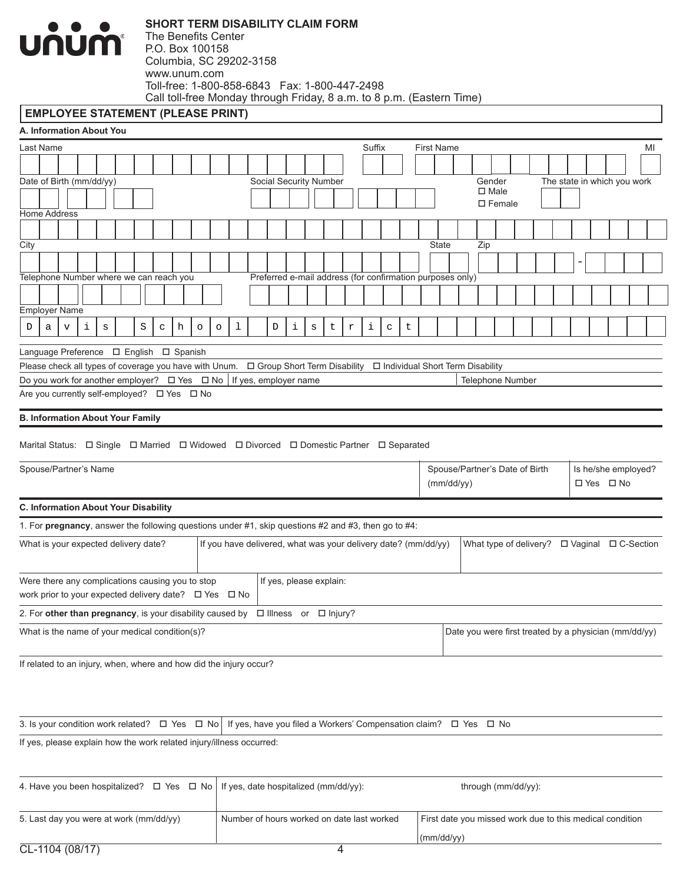

#### **EMPLOYEE STATEMENT (PLEASE PRINT)**

| A. Information About You                                                                                                             |                           |   |   |   |              |   |         |         |                                                                |   |                         |         |   |                           |        |                                                           |   |                   |              |                                                       |                                    |  |  |  |                             |    |
|--------------------------------------------------------------------------------------------------------------------------------------|---------------------------|---|---|---|--------------|---|---------|---------|----------------------------------------------------------------|---|-------------------------|---------|---|---------------------------|--------|-----------------------------------------------------------|---|-------------------|--------------|-------------------------------------------------------|------------------------------------|--|--|--|-----------------------------|----|
| Last Name                                                                                                                            |                           |   |   |   |              |   |         |         |                                                                |   |                         |         |   |                           | Suffix |                                                           |   | <b>First Name</b> |              |                                                       |                                    |  |  |  |                             | ΜI |
|                                                                                                                                      |                           |   |   |   |              |   |         |         |                                                                |   |                         |         |   |                           |        |                                                           |   |                   |              |                                                       |                                    |  |  |  |                             |    |
| Date of Birth (mm/dd/yy)                                                                                                             |                           |   |   |   |              |   |         |         |                                                                |   | Social Security Number  |         |   |                           |        |                                                           |   |                   |              |                                                       | Gender                             |  |  |  | The state in which you work |    |
|                                                                                                                                      |                           |   |   |   |              |   |         |         |                                                                |   |                         |         |   |                           |        |                                                           |   |                   |              |                                                       | $\square$ Male<br>$\square$ Female |  |  |  |                             |    |
| <b>Home Address</b>                                                                                                                  |                           |   |   |   |              |   |         |         |                                                                |   |                         |         |   |                           |        |                                                           |   |                   |              |                                                       |                                    |  |  |  |                             |    |
|                                                                                                                                      |                           |   |   |   |              |   |         |         |                                                                |   |                         |         |   |                           |        |                                                           |   |                   |              |                                                       |                                    |  |  |  |                             |    |
| City                                                                                                                                 |                           |   |   |   |              |   |         |         |                                                                |   |                         |         |   |                           |        |                                                           |   |                   | <b>State</b> |                                                       | Zip                                |  |  |  |                             |    |
|                                                                                                                                      |                           |   |   |   |              |   |         |         |                                                                |   |                         |         |   |                           |        |                                                           |   |                   |              |                                                       |                                    |  |  |  |                             |    |
| Telephone Number where we can reach you                                                                                              |                           |   |   |   |              |   |         |         |                                                                |   |                         |         |   |                           |        | Preferred e-mail address (for confirmation purposes only) |   |                   |              |                                                       |                                    |  |  |  |                             |    |
|                                                                                                                                      |                           |   |   |   |              |   |         |         |                                                                |   |                         |         |   |                           |        |                                                           |   |                   |              |                                                       |                                    |  |  |  |                             |    |
| <b>Employer Name</b>                                                                                                                 |                           |   |   |   |              |   |         |         |                                                                |   |                         |         |   |                           |        |                                                           |   |                   |              |                                                       |                                    |  |  |  |                             |    |
| D<br>a                                                                                                                               | $\boldsymbol{\mathrm{v}}$ | i | S | S | $\mathtt{C}$ | h | $\circ$ | $\circ$ | 1                                                              | D | i                       | $\rm s$ | t | $\ensuremath{\mathbf{r}}$ | i      | C                                                         | t |                   |              |                                                       |                                    |  |  |  |                             |    |
|                                                                                                                                      |                           |   |   |   |              |   |         |         |                                                                |   |                         |         |   |                           |        |                                                           |   |                   |              |                                                       |                                    |  |  |  |                             |    |
|                                                                                                                                      |                           |   |   |   |              |   |         |         |                                                                |   |                         |         |   |                           |        |                                                           |   |                   |              |                                                       |                                    |  |  |  |                             |    |
| Do you work for another employer? □ Yes □ No                                                                                         |                           |   |   |   |              |   |         |         | If yes, employer name                                          |   |                         |         |   |                           |        |                                                           |   |                   |              |                                                       | Telephone Number                   |  |  |  |                             |    |
| Are you currently self-employed? □ Yes □ No                                                                                          |                           |   |   |   |              |   |         |         |                                                                |   |                         |         |   |                           |        |                                                           |   |                   |              |                                                       |                                    |  |  |  |                             |    |
|                                                                                                                                      |                           |   |   |   |              |   |         |         |                                                                |   |                         |         |   |                           |        |                                                           |   |                   |              |                                                       |                                    |  |  |  |                             |    |
| <b>B. Information About Your Family</b>                                                                                              |                           |   |   |   |              |   |         |         |                                                                |   |                         |         |   |                           |        |                                                           |   |                   |              |                                                       |                                    |  |  |  |                             |    |
| Marital Status: $\Box$ Single $\Box$ Married $\Box$ Widowed $\Box$ Divorced $\Box$ Domestic Partner $\Box$ Separated                 |                           |   |   |   |              |   |         |         |                                                                |   |                         |         |   |                           |        |                                                           |   |                   |              |                                                       |                                    |  |  |  |                             |    |
|                                                                                                                                      |                           |   |   |   |              |   |         |         |                                                                |   |                         |         |   |                           |        |                                                           |   |                   |              |                                                       |                                    |  |  |  |                             |    |
| Spouse/Partner's Name                                                                                                                |                           |   |   |   |              |   |         |         |                                                                |   |                         |         |   |                           |        |                                                           |   |                   |              | Spouse/Partner's Date of Birth                        |                                    |  |  |  | Is he/she employed?         |    |
|                                                                                                                                      |                           |   |   |   |              |   |         |         |                                                                |   |                         |         |   |                           |        |                                                           |   |                   | (mm/dd/yy)   |                                                       |                                    |  |  |  | □ Yes □ No                  |    |
| C. Information About Your Disability                                                                                                 |                           |   |   |   |              |   |         |         |                                                                |   |                         |         |   |                           |        |                                                           |   |                   |              |                                                       |                                    |  |  |  |                             |    |
| 1. For pregnancy, answer the following questions under #1, skip questions #2 and #3, then go to #4:                                  |                           |   |   |   |              |   |         |         |                                                                |   |                         |         |   |                           |        |                                                           |   |                   |              |                                                       |                                    |  |  |  |                             |    |
| What is your expected delivery date?                                                                                                 |                           |   |   |   |              |   |         |         | If you have delivered, what was your delivery date? (mm/dd/yy) |   |                         |         |   |                           |        |                                                           |   |                   |              |                                                       |                                    |  |  |  |                             |    |
|                                                                                                                                      |                           |   |   |   |              |   |         |         |                                                                |   |                         |         |   |                           |        |                                                           |   |                   |              |                                                       |                                    |  |  |  |                             |    |
|                                                                                                                                      |                           |   |   |   |              |   |         |         |                                                                |   |                         |         |   |                           |        |                                                           |   |                   |              |                                                       |                                    |  |  |  |                             |    |
| Were there any complications causing you to stop<br>work prior to your expected delivery date? □ Yes □ No                            |                           |   |   |   |              |   |         |         |                                                                |   | If yes, please explain: |         |   |                           |        |                                                           |   |                   |              |                                                       |                                    |  |  |  |                             |    |
|                                                                                                                                      |                           |   |   |   |              |   |         |         |                                                                |   |                         |         |   |                           |        |                                                           |   |                   |              |                                                       |                                    |  |  |  |                             |    |
| 2. For other than pregnancy, is your disability caused by $\Box$ Illness or $\Box$ Injury?                                           |                           |   |   |   |              |   |         |         |                                                                |   |                         |         |   |                           |        |                                                           |   |                   |              |                                                       |                                    |  |  |  |                             |    |
| What is the name of your medical condition(s)?                                                                                       |                           |   |   |   |              |   |         |         |                                                                |   |                         |         |   |                           |        |                                                           |   |                   |              | Date you were first treated by a physician (mm/dd/yy) |                                    |  |  |  |                             |    |
|                                                                                                                                      |                           |   |   |   |              |   |         |         |                                                                |   |                         |         |   |                           |        |                                                           |   |                   |              |                                                       |                                    |  |  |  |                             |    |
| If related to an injury, when, where and how did the injury occur?                                                                   |                           |   |   |   |              |   |         |         |                                                                |   |                         |         |   |                           |        |                                                           |   |                   |              |                                                       |                                    |  |  |  |                             |    |
|                                                                                                                                      |                           |   |   |   |              |   |         |         |                                                                |   |                         |         |   |                           |        |                                                           |   |                   |              |                                                       |                                    |  |  |  |                             |    |
|                                                                                                                                      |                           |   |   |   |              |   |         |         |                                                                |   |                         |         |   |                           |        |                                                           |   |                   |              |                                                       |                                    |  |  |  |                             |    |
|                                                                                                                                      |                           |   |   |   |              |   |         |         |                                                                |   |                         |         |   |                           |        |                                                           |   |                   |              |                                                       |                                    |  |  |  |                             |    |
| 3. Is your condition work related? $\Box$ Yes $\Box$ No   If yes, have you filed a Workers' Compensation claim? $\Box$ Yes $\Box$ No |                           |   |   |   |              |   |         |         |                                                                |   |                         |         |   |                           |        |                                                           |   |                   |              |                                                       |                                    |  |  |  |                             |    |
| If yes, please explain how the work related injury/illness occurred:                                                                 |                           |   |   |   |              |   |         |         |                                                                |   |                         |         |   |                           |        |                                                           |   |                   |              |                                                       |                                    |  |  |  |                             |    |
|                                                                                                                                      |                           |   |   |   |              |   |         |         |                                                                |   |                         |         |   |                           |        |                                                           |   |                   |              |                                                       |                                    |  |  |  |                             |    |
| 4. Have you been hospitalized? $\Box$ Yes $\Box$ No                                                                                  |                           |   |   |   |              |   |         |         | If yes, date hospitalized (mm/dd/yy):                          |   |                         |         |   |                           |        |                                                           |   |                   |              |                                                       |                                    |  |  |  |                             |    |
|                                                                                                                                      |                           |   |   |   |              |   |         |         |                                                                |   |                         |         |   |                           |        |                                                           |   |                   |              | through (mm/dd/yy):                                   |                                    |  |  |  |                             |    |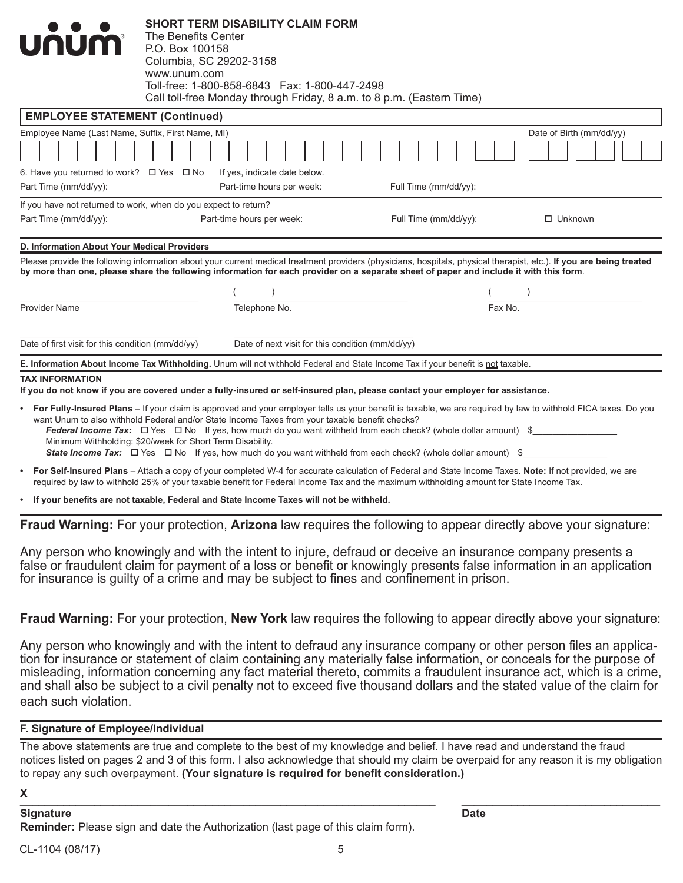|                                                                             |                                                            |                                                                                                                                        |                       | E. Information About Income Tax Withholding. Unum will not withhold Federal and State Income Tax if your benefit is not taxable. |                                                                                                                                                                     |
|-----------------------------------------------------------------------------|------------------------------------------------------------|----------------------------------------------------------------------------------------------------------------------------------------|-----------------------|----------------------------------------------------------------------------------------------------------------------------------|---------------------------------------------------------------------------------------------------------------------------------------------------------------------|
| Date of first visit for this condition (mm/dd/yy)                           |                                                            | Date of next visit for this condition (mm/dd/yy)                                                                                       |                       |                                                                                                                                  |                                                                                                                                                                     |
| <b>Provider Name</b>                                                        |                                                            | Telephone No.                                                                                                                          |                       | Fax No.                                                                                                                          |                                                                                                                                                                     |
|                                                                             |                                                            |                                                                                                                                        |                       |                                                                                                                                  |                                                                                                                                                                     |
|                                                                             |                                                            | by more than one, please share the following information for each provider on a separate sheet of paper and include it with this form. |                       |                                                                                                                                  | Please provide the following information about your current medical treatment providers (physicians, hospitals, physical therapist, etc.). If you are being treated |
| D. Information About Your Medical Providers                                 |                                                            |                                                                                                                                        |                       |                                                                                                                                  |                                                                                                                                                                     |
| Part Time (mm/dd/yy):                                                       |                                                            | Part-time hours per week:                                                                                                              | Full Time (mm/dd/yy): |                                                                                                                                  | $\Box$ Unknown                                                                                                                                                      |
| If you have not returned to work, when do you expect to return?             |                                                            |                                                                                                                                        |                       |                                                                                                                                  |                                                                                                                                                                     |
| 6. Have you returned to work? $\Box$ Yes $\Box$ No<br>Part Time (mm/dd/yy): |                                                            | If yes, indicate date below.<br>Part-time hours per week:                                                                              | Full Time (mm/dd/yy): |                                                                                                                                  |                                                                                                                                                                     |
|                                                                             |                                                            |                                                                                                                                        |                       |                                                                                                                                  |                                                                                                                                                                     |
| Employee Name (Last Name, Suffix, First Name, MI)                           |                                                            |                                                                                                                                        |                       |                                                                                                                                  | Date of Birth (mm/dd/yy)                                                                                                                                            |
| <b>EMPLOYEE STATEMENT (Continued)</b>                                       |                                                            |                                                                                                                                        |                       |                                                                                                                                  |                                                                                                                                                                     |
| <b>UNUM</b>                                                                 | P.O. Box 100158<br>Columbia, SC 29202-3158<br>www.unum.com | Toll-free: 1-800-858-6843    Fax: 1-800-447-2498<br>Call toll-free Monday through Friday, 8 a.m. to 8 p.m. (Eastern Time)              |                       |                                                                                                                                  |                                                                                                                                                                     |

**SHORT TERM DISABILITY CLAIM FORM**

- **• For Fully-Insured Plans** If your claim is approved and your employer tells us your benefit is taxable, we are required by law to withhold FICA taxes. Do you want Unum to also withhold Federal and/or State Income Taxes from your taxable benefit checks? *Federal Income Tax:*  $\square$  Yes  $\square$  No If yes, how much do you want withheld from each check? (whole dollar amount)  $\$ Minimum Withholding: \$20/week for Short Term Disability. *State Income Tax:*  $\Box$  Yes  $\Box$  No If yes, how much do you want withheld from each check? (whole dollar amount) \$
- **• For Self-Insured Plans** Attach a copy of your completed W-4 for accurate calculation of Federal and State Income Taxes. **Note:** If not provided, we are required by law to withhold 25% of your taxable benefit for Federal Income Tax and the maximum withholding amount for State Income Tax.

**• If your benefits are not taxable, Federal and State Income Taxes will not be withheld.**

**Fraud Warning:** For your protection, **Arizona** law requires the following to appear directly above your signature:

Any person who knowingly and with the intent to injure, defraud or deceive an insurance company presents a false or fraudulent claim for payment of a loss or benefit or knowingly presents false information in an application for insurance is guilty of a crime and may be subject to fines and confinement in prison.

**Fraud Warning:** For your protection, **New York** law requires the following to appear directly above your signature:

Any person who knowingly and with the intent to defraud any insurance company or other person files an application for insurance or statement of claim containing any materially false information, or conceals for the purpose of misleading, information concerning any fact material thereto, commits a fraudulent insurance act, which is a crime, and shall also be subject to a civil penalty not to exceed five thousand dollars and the stated value of the claim for each such violation.

### **F. Signature of Employee/Individual**

The above statements are true and complete to the best of my knowledge and belief. I have read and understand the fraud notices listed on pages 2 and 3 of this form. I also acknowledge that should my claim be overpaid for any reason it is my obligation to repay any such overpayment. **(Your signature is required for benefit consideration.)**

#### **X** \_\_\_\_\_\_\_\_\_\_\_\_\_\_\_\_\_\_\_\_\_\_\_\_\_\_\_\_\_\_\_\_\_\_\_\_\_\_\_\_\_\_\_\_\_\_\_\_\_\_\_\_\_\_\_\_\_\_\_\_\_\_\_\_\_\_\_ \_\_\_\_\_\_\_\_\_\_\_\_\_\_\_\_\_\_\_\_\_\_\_\_\_\_\_\_\_\_\_\_

#### **Signature Date**

**Reminder:** Please sign and date the Authorization (last page of this claim form).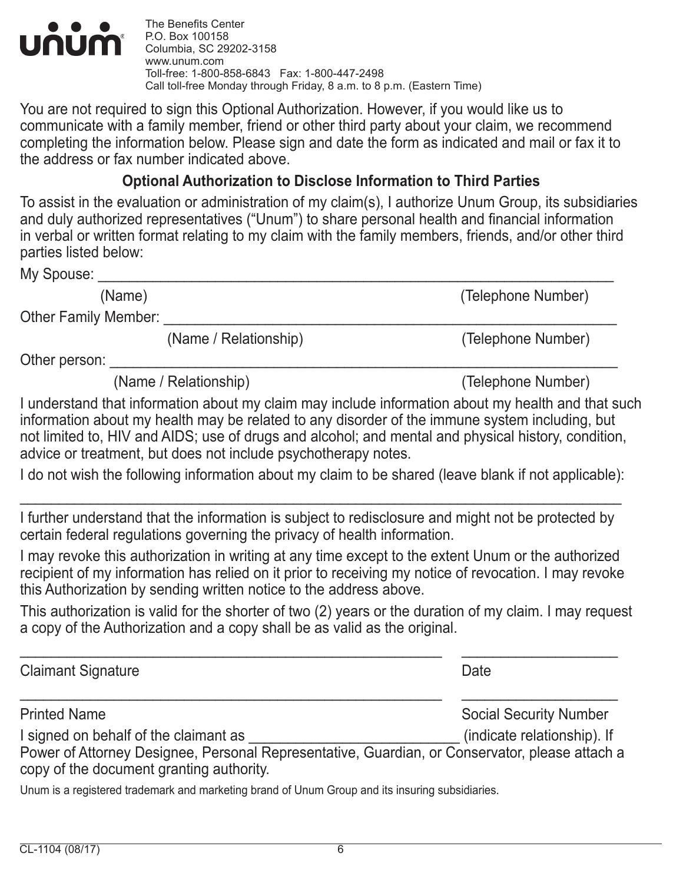

The Benefits Center P.O. Box 100158 Columbia, SC 29202-3158 www.unum.com Toll-free: 1-800-858-6843 Fax: 1-800-447-2498 Call toll-free Monday through Friday, 8 a.m. to 8 p.m. (Eastern Time)

You are not required to sign this Optional Authorization. However, if you would like us to communicate with a family member, friend or other third party about your claim, we recommend completing the information below. Please sign and date the form as indicated and mail or fax it to the address or fax number indicated above.

## **Optional Authorization to Disclose Information to Third Parties**

To assist in the evaluation or administration of my claim(s), I authorize Unum Group, its subsidiaries and duly authorized representatives ("Unum") to share personal health and financial information in verbal or written format relating to my claim with the family members, friends, and/or other third parties listed below:

My Spouse:

(Name) (Telephone Number)

Other Family Member: \_

(Name / Relationship) (Telephone Number)

Other person:

(Name / Relationship) (Telephone Number)

I understand that information about my claim may include information about my health and that such information about my health may be related to any disorder of the immune system including, but not limited to, HIV and AIDS; use of drugs and alcohol; and mental and physical history, condition, advice or treatment, but does not include psychotherapy notes.

I do not wish the following information about my claim to be shared (leave blank if not applicable):

\_\_\_\_\_\_\_\_\_\_\_\_\_\_\_\_\_\_\_\_\_\_\_\_\_\_\_\_\_\_\_\_\_\_\_\_\_\_\_\_\_\_\_\_\_\_\_\_\_\_\_\_\_\_\_\_\_\_\_\_\_\_\_\_\_\_\_\_\_\_\_\_\_\_\_\_\_

I further understand that the information is subject to redisclosure and might not be protected by certain federal regulations governing the privacy of health information.

I may revoke this authorization in writing at any time except to the extent Unum or the authorized recipient of my information has relied on it prior to receiving my notice of revocation. I may revoke this Authorization by sending written notice to the address above.

This authorization is valid for the shorter of two (2) years or the duration of my claim. I may request a copy of the Authorization and a copy shall be as valid as the original.

\_\_\_\_\_\_\_\_\_\_\_\_\_\_\_\_\_\_\_\_\_\_\_\_\_\_\_\_\_\_\_\_\_\_\_\_\_\_\_\_\_\_\_\_\_\_\_\_\_\_\_\_\_\_ \_\_\_\_\_\_\_\_\_\_\_\_\_\_\_\_\_\_\_\_ Claimant Signature **Date** \_\_\_\_\_\_\_\_\_\_\_\_\_\_\_\_\_\_\_\_\_\_\_\_\_\_\_\_\_\_\_\_\_\_\_\_\_\_\_\_\_\_\_\_\_\_\_\_\_\_\_\_\_\_ \_\_\_\_\_\_\_\_\_\_\_\_\_\_\_\_\_\_\_\_ Printed Name **Social Security Number** Social Security Number I signed on behalf of the claimant as  $\blacksquare$  (indicate relationship). If Power of Attorney Designee, Personal Representative, Guardian, or Conservator, please attach a copy of the document granting authority.

Unum is a registered trademark and marketing brand of Unum Group and its insuring subsidiaries.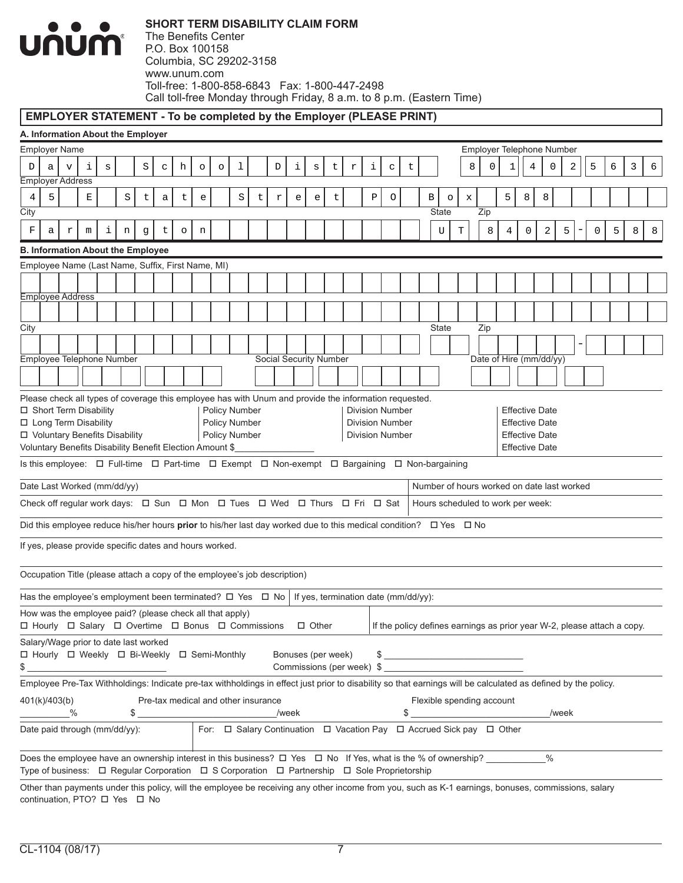

#### **EMPLOYER STATEMENT - To be completed by the Employer (PLEASE PRINT)**

|                                                          | A. Information About the Employer<br>Employer Name<br>Employer Telephone Number                                                                                                                      |   |   |   |         |   |   |         |   |  |   |                                                                           |            |                                   |                                   |   |                                                                                                                                                               |   |   |                         |   |     |                                                                         |                       |      |       |             |   |   |   |
|----------------------------------------------------------|------------------------------------------------------------------------------------------------------------------------------------------------------------------------------------------------------|---|---|---|---------|---|---|---------|---|--|---|---------------------------------------------------------------------------|------------|-----------------------------------|-----------------------------------|---|---------------------------------------------------------------------------------------------------------------------------------------------------------------|---|---|-------------------------|---|-----|-------------------------------------------------------------------------|-----------------------|------|-------|-------------|---|---|---|
|                                                          | 5<br>3<br>6<br>i<br>S<br>i<br>i<br>8<br>4<br>0<br>2<br>6<br>h<br>1<br>t<br>0<br>1<br>D<br>$\mathtt{C}$<br>D<br>$\rm s$<br>$\Upsilon$<br>$\mathbf C$<br>t<br>v<br>S<br>$\circ$<br>$\circ$<br>a        |   |   |   |         |   |   |         |   |  |   |                                                                           |            |                                   |                                   |   |                                                                                                                                                               |   |   |                         |   |     |                                                                         |                       |      |       |             |   |   |   |
|                                                          |                                                                                                                                                                                                      |   |   |   |         |   |   |         |   |  |   |                                                                           |            |                                   |                                   |   |                                                                                                                                                               |   |   |                         |   |     |                                                                         |                       |      |       |             |   |   |   |
| Employer Address                                         |                                                                                                                                                                                                      |   |   |   |         |   |   |         |   |  |   |                                                                           |            |                                   |                                   |   |                                                                                                                                                               |   |   |                         |   |     |                                                                         |                       |      |       |             |   |   |   |
| $\overline{4}$<br>City                                   | 5                                                                                                                                                                                                    |   | E |   | $\rm S$ | t | a | t       | e |  | S | t                                                                         | $\Upsilon$ | $\mathsf{e}% _{t}\left( t\right)$ | $\mathsf{e}% _{t}\left( t\right)$ | t | Ρ                                                                                                                                                             | O | В | $\circ$<br><b>State</b> | X | Zip | 5                                                                       | 8                     | 8    |       |             |   |   |   |
| F                                                        | а                                                                                                                                                                                                    | r | m | i | n       | g | t | $\circ$ | n |  |   |                                                                           |            |                                   |                                   |   |                                                                                                                                                               |   |   | U                       | T | 8   | 4                                                                       | 0                     | 2    | 5     | $\mathbf 0$ | 5 | 8 | 8 |
| <b>B. Information About the Employee</b>                 |                                                                                                                                                                                                      |   |   |   |         |   |   |         |   |  |   |                                                                           |            |                                   |                                   |   |                                                                                                                                                               |   |   |                         |   |     |                                                                         |                       |      |       |             |   |   |   |
| Employee Name (Last Name, Suffix, First Name, MI)        |                                                                                                                                                                                                      |   |   |   |         |   |   |         |   |  |   |                                                                           |            |                                   |                                   |   |                                                                                                                                                               |   |   |                         |   |     |                                                                         |                       |      |       |             |   |   |   |
|                                                          |                                                                                                                                                                                                      |   |   |   |         |   |   |         |   |  |   |                                                                           |            |                                   |                                   |   |                                                                                                                                                               |   |   |                         |   |     |                                                                         |                       |      |       |             |   |   |   |
| <b>Employee Address</b>                                  |                                                                                                                                                                                                      |   |   |   |         |   |   |         |   |  |   |                                                                           |            |                                   |                                   |   |                                                                                                                                                               |   |   |                         |   |     |                                                                         |                       |      |       |             |   |   |   |
|                                                          |                                                                                                                                                                                                      |   |   |   |         |   |   |         |   |  |   |                                                                           |            |                                   |                                   |   |                                                                                                                                                               |   |   |                         |   |     |                                                                         |                       |      |       |             |   |   |   |
| City                                                     |                                                                                                                                                                                                      |   |   |   |         |   |   |         |   |  |   |                                                                           |            |                                   |                                   |   |                                                                                                                                                               |   |   | <b>State</b>            |   | Zip |                                                                         |                       |      |       |             |   |   |   |
|                                                          |                                                                                                                                                                                                      |   |   |   |         |   |   |         |   |  |   |                                                                           |            |                                   |                                   |   |                                                                                                                                                               |   |   |                         |   |     |                                                                         |                       |      |       |             |   |   |   |
| Employee Telephone Number                                |                                                                                                                                                                                                      |   |   |   |         |   |   |         |   |  |   |                                                                           |            |                                   | Social Security Number            |   |                                                                                                                                                               |   |   |                         |   |     | Date of Hire (mm/dd/yy)                                                 |                       |      |       |             |   |   |   |
|                                                          |                                                                                                                                                                                                      |   |   |   |         |   |   |         |   |  |   |                                                                           |            |                                   |                                   |   |                                                                                                                                                               |   |   |                         |   |     |                                                                         |                       |      |       |             |   |   |   |
|                                                          |                                                                                                                                                                                                      |   |   |   |         |   |   |         |   |  |   |                                                                           |            |                                   |                                   |   |                                                                                                                                                               |   |   |                         |   |     |                                                                         |                       |      |       |             |   |   |   |
|                                                          | Please check all types of coverage this employee has with Unum and provide the information requested.<br>□ Short Term Disability<br>Policy Number<br><b>Division Number</b><br><b>Effective Date</b> |   |   |   |         |   |   |         |   |  |   |                                                                           |            |                                   |                                   |   |                                                                                                                                                               |   |   |                         |   |     |                                                                         |                       |      |       |             |   |   |   |
|                                                          | □ Long Term Disability<br>Policy Number<br><b>Division Number</b><br><b>Effective Date</b><br>Policy Number<br>□ Voluntary Benefits Disability                                                       |   |   |   |         |   |   |         |   |  |   |                                                                           |            |                                   |                                   |   |                                                                                                                                                               |   |   |                         |   |     |                                                                         |                       |      |       |             |   |   |   |
|                                                          |                                                                                                                                                                                                      |   |   |   |         |   |   |         |   |  |   |                                                                           |            |                                   |                                   |   | <b>Division Number</b>                                                                                                                                        |   |   |                         |   |     |                                                                         | <b>Effective Date</b> |      |       |             |   |   |   |
| Voluntary Benefits Disability Benefit Election Amount \$ |                                                                                                                                                                                                      |   |   |   |         |   |   |         |   |  |   |                                                                           |            |                                   |                                   |   |                                                                                                                                                               |   |   |                         |   |     |                                                                         | <b>Effective Date</b> |      |       |             |   |   |   |
|                                                          | Is this employee: $\Box$ Full-time $\Box$ Part-time $\Box$ Exempt $\Box$ Non-exempt $\Box$ Bargaining $\Box$ Non-bargaining                                                                          |   |   |   |         |   |   |         |   |  |   |                                                                           |            |                                   |                                   |   |                                                                                                                                                               |   |   |                         |   |     |                                                                         |                       |      |       |             |   |   |   |
| Date Last Worked (mm/dd/yy)                              |                                                                                                                                                                                                      |   |   |   |         |   |   |         |   |  |   |                                                                           |            |                                   |                                   |   |                                                                                                                                                               |   |   |                         |   |     | Number of hours worked on date last worked                              |                       |      |       |             |   |   |   |
|                                                          |                                                                                                                                                                                                      |   |   |   |         |   |   |         |   |  |   |                                                                           |            |                                   |                                   |   | Check off regular work days: $\Box$ Sun $\Box$ Mon $\Box$ Tues $\Box$ Wed $\Box$ Thurs $\Box$ Fri $\Box$ Sat                                                  |   |   |                         |   |     | Hours scheduled to work per week:                                       |                       |      |       |             |   |   |   |
|                                                          |                                                                                                                                                                                                      |   |   |   |         |   |   |         |   |  |   |                                                                           |            |                                   |                                   |   | Did this employee reduce his/her hours prior to his/her last day worked due to this medical condition? $\Box$ Yes $\Box$ No                                   |   |   |                         |   |     |                                                                         |                       |      |       |             |   |   |   |
| If yes, please provide specific dates and hours worked.  |                                                                                                                                                                                                      |   |   |   |         |   |   |         |   |  |   |                                                                           |            |                                   |                                   |   |                                                                                                                                                               |   |   |                         |   |     |                                                                         |                       |      |       |             |   |   |   |
|                                                          |                                                                                                                                                                                                      |   |   |   |         |   |   |         |   |  |   | Occupation Title (please attach a copy of the employee's job description) |            |                                   |                                   |   |                                                                                                                                                               |   |   |                         |   |     |                                                                         |                       |      |       |             |   |   |   |
|                                                          |                                                                                                                                                                                                      |   |   |   |         |   |   |         |   |  |   |                                                                           |            |                                   |                                   |   | Has the employee's employment been terminated? $\Box$ Yes $\Box$ No   If yes, termination date (mm/dd/yy):                                                    |   |   |                         |   |     |                                                                         |                       |      |       |             |   |   |   |
| How was the employee paid? (please check all that apply) |                                                                                                                                                                                                      |   |   |   |         |   |   |         |   |  |   | □ Hourly □ Salary □ Overtime □ Bonus □ Commissions                        |            |                                   | $\Box$ Other                      |   |                                                                                                                                                               |   |   |                         |   |     | If the policy defines earnings as prior year W-2, please attach a copy. |                       |      |       |             |   |   |   |
| Salary/Wage prior to date last worked                    |                                                                                                                                                                                                      |   |   |   |         |   |   |         |   |  |   |                                                                           |            |                                   |                                   |   |                                                                                                                                                               |   |   |                         |   |     |                                                                         |                       |      |       |             |   |   |   |
| □ Hourly □ Weekly □ Bi-Weekly □ Semi-Monthly<br>\$       |                                                                                                                                                                                                      |   |   |   |         |   |   |         |   |  |   |                                                                           |            |                                   | Bonuses (per week)                |   | Commissions (per week) \$                                                                                                                                     |   |   |                         |   |     | $\qquad \qquad \text{S}$                                                |                       |      |       |             |   |   |   |
|                                                          |                                                                                                                                                                                                      |   |   |   |         |   |   |         |   |  |   |                                                                           |            |                                   |                                   |   | Employee Pre-Tax Withholdings: Indicate pre-tax withholdings in effect just prior to disability so that earnings will be calculated as defined by the policy. |   |   |                         |   |     |                                                                         |                       |      |       |             |   |   |   |
| 401(k)/403(b)                                            |                                                                                                                                                                                                      |   |   |   |         |   |   |         |   |  |   | Pre-tax medical and other insurance                                       |            |                                   |                                   |   |                                                                                                                                                               |   |   |                         |   |     | Flexible spending account                                               |                       |      |       |             |   |   |   |
|                                                          |                                                                                                                                                                                                      | ℅ |   |   |         |   |   |         |   |  |   |                                                                           |            | /week                             |                                   |   |                                                                                                                                                               |   |   |                         |   |     |                                                                         |                       |      | /week |             |   |   |   |
| Date paid through (mm/dd/yy):                            |                                                                                                                                                                                                      |   |   |   |         |   |   |         |   |  |   |                                                                           |            |                                   |                                   |   | For: $\Box$ Salary Continuation $\Box$ Vacation Pay $\Box$ Accrued Sick pay $\Box$ Other                                                                      |   |   |                         |   |     |                                                                         |                       |      |       |             |   |   |   |
|                                                          |                                                                                                                                                                                                      |   |   |   |         |   |   |         |   |  |   |                                                                           |            |                                   |                                   |   | Does the employee have an ownership interest in this business? $\Box$ Yes $\Box$ No If Yes, what is the % of ownership?                                       |   |   |                         |   |     |                                                                         |                       | $\%$ |       |             |   |   |   |
|                                                          |                                                                                                                                                                                                      |   |   |   |         |   |   |         |   |  |   |                                                                           |            |                                   |                                   |   | Type of business: □ Regular Corporation □ S Corporation □ Partnership □ Sole Proprietorship                                                                   |   |   |                         |   |     |                                                                         |                       |      |       |             |   |   |   |
|                                                          |                                                                                                                                                                                                      |   |   |   |         |   |   |         |   |  |   |                                                                           |            |                                   |                                   |   | Other than payments under this policy, will the employee be receiving any other income from you, such as K-1 earnings, bonuses, commissions, salary           |   |   |                         |   |     |                                                                         |                       |      |       |             |   |   |   |

continuation, PTO? □ Yes □ No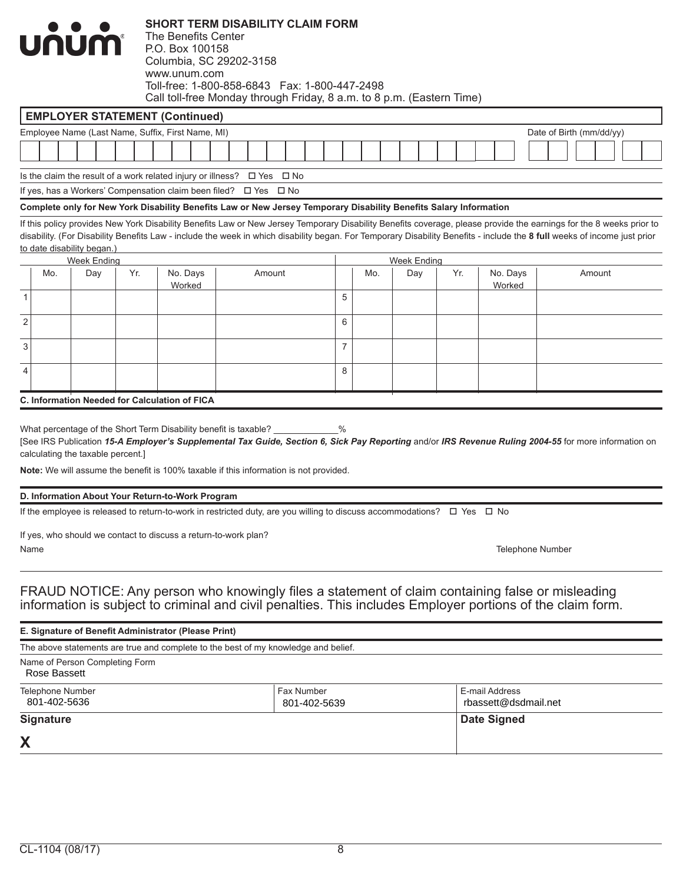|             |                                        | <b>บก๋บ๋ก</b> ำ                   |     | The Benefits Center<br>P.O. Box 100158<br>Columbia, SC 29202-3158<br>www.unum.com | <b>SHORT TERM DISABILITY CLAIM FORM</b><br>Toll-free: 1-800-858-6843  Fax: 1-800-447-2498<br>Call toll-free Monday through Friday, 8 a.m. to 8 p.m. (Eastern Time)                                             |                |     |                    |     |                         |                                                                                                                                                                                                                                                                                                                                                 |
|-------------|----------------------------------------|-----------------------------------|-----|-----------------------------------------------------------------------------------|----------------------------------------------------------------------------------------------------------------------------------------------------------------------------------------------------------------|----------------|-----|--------------------|-----|-------------------------|-------------------------------------------------------------------------------------------------------------------------------------------------------------------------------------------------------------------------------------------------------------------------------------------------------------------------------------------------|
|             |                                        |                                   |     | <b>EMPLOYER STATEMENT (Continued)</b>                                             |                                                                                                                                                                                                                |                |     |                    |     |                         |                                                                                                                                                                                                                                                                                                                                                 |
|             |                                        |                                   |     | Employee Name (Last Name, Suffix, First Name, MI)                                 |                                                                                                                                                                                                                |                |     |                    |     |                         | Date of Birth (mm/dd/yy)                                                                                                                                                                                                                                                                                                                        |
|             |                                        |                                   |     |                                                                                   |                                                                                                                                                                                                                |                |     |                    |     |                         |                                                                                                                                                                                                                                                                                                                                                 |
|             |                                        |                                   |     | Is the claim the result of a work related injury or illness? $\Box$ Yes           | $\square$ No                                                                                                                                                                                                   |                |     |                    |     |                         |                                                                                                                                                                                                                                                                                                                                                 |
|             |                                        |                                   |     | If yes, has a Workers' Compensation claim been filed? $\Box$ Yes                  | $\square$ No                                                                                                                                                                                                   |                |     |                    |     |                         |                                                                                                                                                                                                                                                                                                                                                 |
|             |                                        |                                   |     |                                                                                   | Complete only for New York Disability Benefits Law or New Jersey Temporary Disability Benefits Salary Information                                                                                              |                |     |                    |     |                         |                                                                                                                                                                                                                                                                                                                                                 |
|             |                                        | to date disability began.)        |     |                                                                                   |                                                                                                                                                                                                                |                |     |                    |     |                         | If this policy provides New York Disability Benefits Law or New Jersey Temporary Disability Benefits coverage, please provide the earnings for the 8 weeks prior to<br>disability. (For Disability Benefits Law - include the week in which disability began. For Temporary Disability Benefits - include the 8 full weeks of income just prior |
|             |                                        | Week Ending                       | Yr. |                                                                                   |                                                                                                                                                                                                                |                |     | <b>Week Ending</b> |     |                         |                                                                                                                                                                                                                                                                                                                                                 |
|             | Mo.                                    | Day                               |     | No. Days<br>Worked                                                                | Amount                                                                                                                                                                                                         | 5              | Mo. | Day                | Yr. | No. Days<br>Worked      | Amount                                                                                                                                                                                                                                                                                                                                          |
| 1           |                                        |                                   |     |                                                                                   |                                                                                                                                                                                                                |                |     |                    |     |                         |                                                                                                                                                                                                                                                                                                                                                 |
| $\mathbf 2$ |                                        |                                   |     |                                                                                   |                                                                                                                                                                                                                | 6              |     |                    |     |                         |                                                                                                                                                                                                                                                                                                                                                 |
| 3           |                                        |                                   |     |                                                                                   |                                                                                                                                                                                                                | $\overline{7}$ |     |                    |     |                         |                                                                                                                                                                                                                                                                                                                                                 |
| 4           |                                        |                                   |     |                                                                                   |                                                                                                                                                                                                                | 8              |     |                    |     |                         |                                                                                                                                                                                                                                                                                                                                                 |
|             |                                        |                                   |     | <b>C. Information Needed for Calculation of FICA</b>                              |                                                                                                                                                                                                                |                |     |                    |     |                         |                                                                                                                                                                                                                                                                                                                                                 |
|             |                                        | calculating the taxable percent.] |     |                                                                                   | What percentage of the Short Term Disability benefit is taxable? ________<br>Note: We will assume the benefit is 100% taxable if this information is not provided.                                             | $\%$           |     |                    |     |                         | [See IRS Publication 15-A Employer's Supplemental Tax Guide, Section 6, Sick Pay Reporting and/or IRS Revenue Ruling 2004-55 for more information on                                                                                                                                                                                            |
|             |                                        |                                   |     | D. Information About Your Return-to-Work Program                                  |                                                                                                                                                                                                                |                |     |                    |     |                         |                                                                                                                                                                                                                                                                                                                                                 |
|             |                                        |                                   |     |                                                                                   | If the employee is released to return-to-work in restricted duty, are you willing to discuss accommodations? $\Box$ Yes $\Box$ No                                                                              |                |     |                    |     |                         |                                                                                                                                                                                                                                                                                                                                                 |
|             | Name                                   |                                   |     | If yes, who should we contact to discuss a return-to-work plan?                   |                                                                                                                                                                                                                |                |     |                    |     | <b>Telephone Number</b> |                                                                                                                                                                                                                                                                                                                                                 |
|             |                                        |                                   |     |                                                                                   | FRAUD NOTICE: Any person who knowingly files a statement of claim containing false or misleading<br>information is subject to criminal and civil penalties. This includes Employer portions of the claim form. |                |     |                    |     |                         |                                                                                                                                                                                                                                                                                                                                                 |
|             |                                        |                                   |     | E. Signature of Benefit Administrator (Please Print)                              |                                                                                                                                                                                                                |                |     |                    |     |                         |                                                                                                                                                                                                                                                                                                                                                 |
|             |                                        |                                   |     |                                                                                   | The above statements are true and complete to the best of my knowledge and belief.                                                                                                                             |                |     |                    |     |                         |                                                                                                                                                                                                                                                                                                                                                 |
|             | Rose Bassett                           | Name of Person Completing Form    |     |                                                                                   |                                                                                                                                                                                                                |                |     |                    |     |                         |                                                                                                                                                                                                                                                                                                                                                 |
|             | Telephone Number<br>$0.01$ $100$ $ECO$ |                                   |     |                                                                                   | Fax Number<br>201, 100, 500                                                                                                                                                                                    |                |     |                    |     | E-mail Address          |                                                                                                                                                                                                                                                                                                                                                 |

| X                                |                             |                                        |
|----------------------------------|-----------------------------|----------------------------------------|
| <b>Signature</b>                 |                             | Date Signed                            |
| Telephone Number<br>801-402-5636 | ⊩Fax Number<br>801-402-5639 | E-mail Address<br>rbassett@dsdmail.net |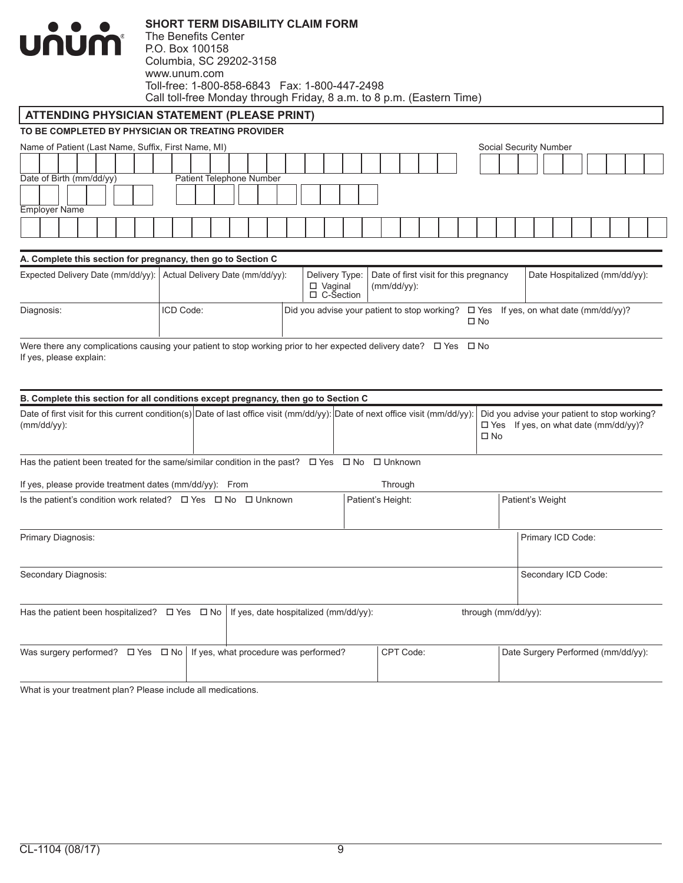

The Benefits Center P.O. Box 100158 Columbia, SC 29202-3158 www.unum.com Toll-free: 1-800-858-6843 Fax: 1-800-447-2498 Call toll-free Monday through Friday, 8 a.m. to 8 p.m. (Eastern Time)

### **ATTENDING PHYSICIAN STATEMENT (PLEASE PRINT)**

#### **TO BE COMPLETED BY PHYSICIAN OR TREATING PROVIDER**

| Name of Patient (Last Name, Suffix, First Name, MI) |                          | Social Security Number |
|-----------------------------------------------------|--------------------------|------------------------|
|                                                     |                          |                        |
| Date of Birth (mm/dd/yy)                            | Patient Telephone Number |                        |
|                                                     |                          |                        |
| <b>Employer Name</b>                                |                          |                        |
|                                                     |                          |                        |
|                                                     |                          |                        |

#### **A. Complete this section for pregnancy, then go to Section C**

| Expected Delivery Date (mm/dd/yy): Actual Delivery Date (mm/dd/yy): |           | □ Vaginal<br>$\Box$ C-Section | Delivery Type: Date of first visit for this pregnancy<br>$\mid$ (mm/dd/yy): |      | Date Hospitalized (mm/dd/yy):                                                                    |
|---------------------------------------------------------------------|-----------|-------------------------------|-----------------------------------------------------------------------------|------|--------------------------------------------------------------------------------------------------|
| Diagnosis:                                                          | ICD Code: |                               |                                                                             | □ No | $\vert$ Did you advise your patient to stop working? $\Box$ Yes If yes, on what date (mm/dd/yy)? |

Were there any complications causing your patient to stop working prior to her expected delivery date?  $\Box$  Yes  $\Box$  No If yes, please explain:

| B. Complete this section for all conditions except pregnancy, then go to Section C                                                              |                                       |                      |                                                                                                             |
|-------------------------------------------------------------------------------------------------------------------------------------------------|---------------------------------------|----------------------|-------------------------------------------------------------------------------------------------------------|
| Date of first visit for this current condition(s) Date of last office visit (mm/dd/yy): Date of next office visit (mm/dd/yy):<br>$(mm/dd/yy)$ : |                                       |                      | Did you advise your patient to stop working?<br>$\Box$ Yes If yes, on what date (mm/dd/yy)?<br>$\square$ No |
| Has the patient been treated for the same/similar condition in the past?                                                                        |                                       | □ Yes □ No □ Unknown |                                                                                                             |
| If yes, please provide treatment dates $(mm/dd/yy)$ : From                                                                                      |                                       | Through              |                                                                                                             |
| Is the patient's condition work related? $\Box$ Yes $\Box$ No $\Box$ Unknown                                                                    |                                       | Patient's Height:    | Patient's Weight                                                                                            |
| Primary Diagnosis:                                                                                                                              |                                       |                      | Primary ICD Code:                                                                                           |
| Secondary Diagnosis:                                                                                                                            |                                       |                      | Secondary ICD Code:                                                                                         |
| Has the patient been hospitalized? $\Box$ Yes $\Box$ No                                                                                         | If yes, date hospitalized (mm/dd/yy): |                      | through (mm/dd/yy):                                                                                         |
| Was surgery performed? $\Box$ Yes $\Box$ No   If yes, what procedure was performed?                                                             |                                       | CPT Code:            | Date Surgery Performed (mm/dd/yy):                                                                          |

What is your treatment plan? Please include all medications.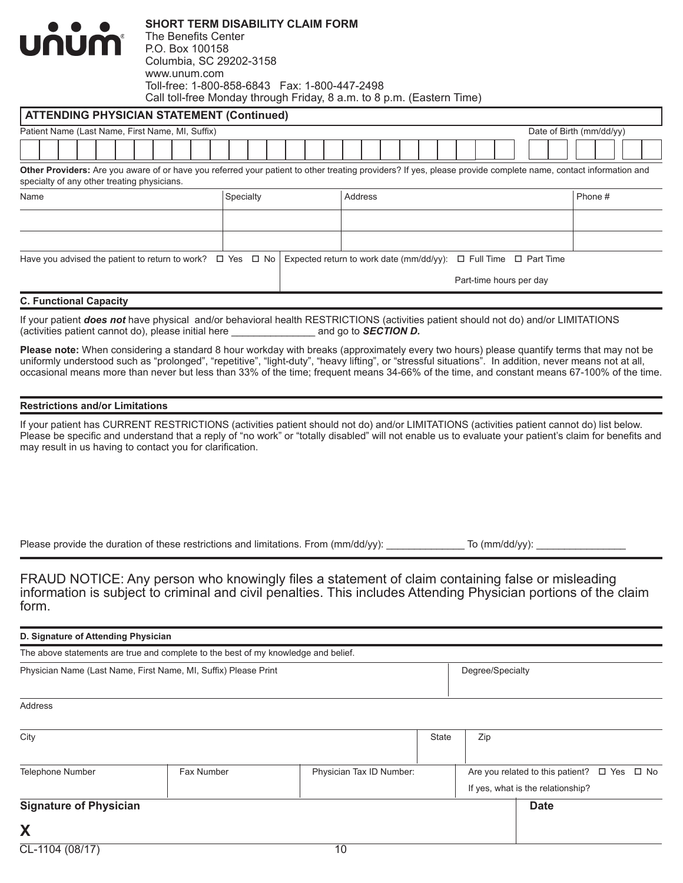| <b>UNUM</b>                                                                                                                                                                                                   | <b>SHORT TERM DISABILITY CLAIM FORM</b><br>The Benefits Center<br>P.O. Box 100158<br>Columbia, SC 29202-3158<br>www.unum.com<br>Toll-free: 1-800-858-6843  Fax: 1-800-447-2498<br>Call toll-free Monday through Friday, 8 a.m. to 8 p.m. (Eastern Time) |           |                                                                            |         |  |                         |  |                          |         |  |
|---------------------------------------------------------------------------------------------------------------------------------------------------------------------------------------------------------------|---------------------------------------------------------------------------------------------------------------------------------------------------------------------------------------------------------------------------------------------------------|-----------|----------------------------------------------------------------------------|---------|--|-------------------------|--|--------------------------|---------|--|
| <b>ATTENDING PHYSICIAN STATEMENT (Continued)</b>                                                                                                                                                              |                                                                                                                                                                                                                                                         |           |                                                                            |         |  |                         |  |                          |         |  |
| Patient Name (Last Name, First Name, MI, Suffix)                                                                                                                                                              |                                                                                                                                                                                                                                                         |           |                                                                            |         |  |                         |  | Date of Birth (mm/dd/yy) |         |  |
|                                                                                                                                                                                                               |                                                                                                                                                                                                                                                         |           |                                                                            |         |  |                         |  |                          |         |  |
| Other Providers: Are you aware of or have you referred your patient to other treating providers? If yes, please provide complete name, contact information and<br>specialty of any other treating physicians. |                                                                                                                                                                                                                                                         |           |                                                                            |         |  |                         |  |                          |         |  |
| Name                                                                                                                                                                                                          |                                                                                                                                                                                                                                                         | Specialty |                                                                            | Address |  |                         |  |                          | Phone # |  |
|                                                                                                                                                                                                               |                                                                                                                                                                                                                                                         |           |                                                                            |         |  |                         |  |                          |         |  |
|                                                                                                                                                                                                               |                                                                                                                                                                                                                                                         |           |                                                                            |         |  |                         |  |                          |         |  |
| Have you advised the patient to return to work? $\Box$ Yes $\Box$ No                                                                                                                                          |                                                                                                                                                                                                                                                         |           | Expected return to work date (mm/dd/yy): $\Box$ Full Time $\Box$ Part Time |         |  |                         |  |                          |         |  |
|                                                                                                                                                                                                               |                                                                                                                                                                                                                                                         |           |                                                                            |         |  | Part-time hours per day |  |                          |         |  |
|                                                                                                                                                                                                               |                                                                                                                                                                                                                                                         |           |                                                                            |         |  |                         |  |                          |         |  |

#### **C. Functional Capacity**

If your patient *does not* have physical and/or behavioral health RESTRICTIONS (activities patient should not do) and/or LIMITATIONS (activities patient should not do) and/or LIMITATIONS (activities patient cannot do), ple (activities patient cannot do), please initial here \_\_\_\_\_\_\_\_\_\_\_\_\_\_\_ and go to *SECTION D.*

**Please note:** When considering a standard 8 hour workday with breaks (approximately every two hours) please quantify terms that may not be uniformly understood such as "prolonged", "repetitive", "light-duty", "heavy lifting", or "stressful situations". In addition, never means not at all, occasional means more than never but less than 33% of the time; frequent means 34-66% of the time, and constant means 67-100% of the time.

#### **Restrictions and/or Limitations**

If your patient has CURRENT RESTRICTIONS (activities patient should not do) and/or LIMITATIONS (activities patient cannot do) list below. Please be specific and understand that a reply of "no work" or "totally disabled" will not enable us to evaluate your patient's claim for benefits and may result in us having to contact you for clarification.

Please provide the duration of these restrictions and limitations. From (mm/dd/yy): \_\_\_\_\_\_\_\_\_\_\_\_ To (mm/dd/yy): \_

FRAUD NOTICE: Any person who knowingly files a statement of claim containing false or misleading information is subject to criminal and civil penalties. This includes Attending Physician portions of the claim form.

| D. Signature of Attending Physician                                                |                  |  |
|------------------------------------------------------------------------------------|------------------|--|
| The above statements are true and complete to the best of my knowledge and belief. |                  |  |
| Physician Name (Last Name, First Name, MI, Suffix) Please Print                    | Degree/Specialty |  |
| Address                                                                            |                  |  |

| City                          |            | State                    | Zip |  |                                                       |  |
|-------------------------------|------------|--------------------------|-----|--|-------------------------------------------------------|--|
|                               |            |                          |     |  |                                                       |  |
| Telephone Number              | Fax Number | Physician Tax ID Number: |     |  | Are you related to this patient? $\Box$ Yes $\Box$ No |  |
|                               |            |                          |     |  | If yes, what is the relationship?                     |  |
| <b>Signature of Physician</b> |            |                          |     |  | <b>Date</b>                                           |  |
| Χ                             |            |                          |     |  |                                                       |  |